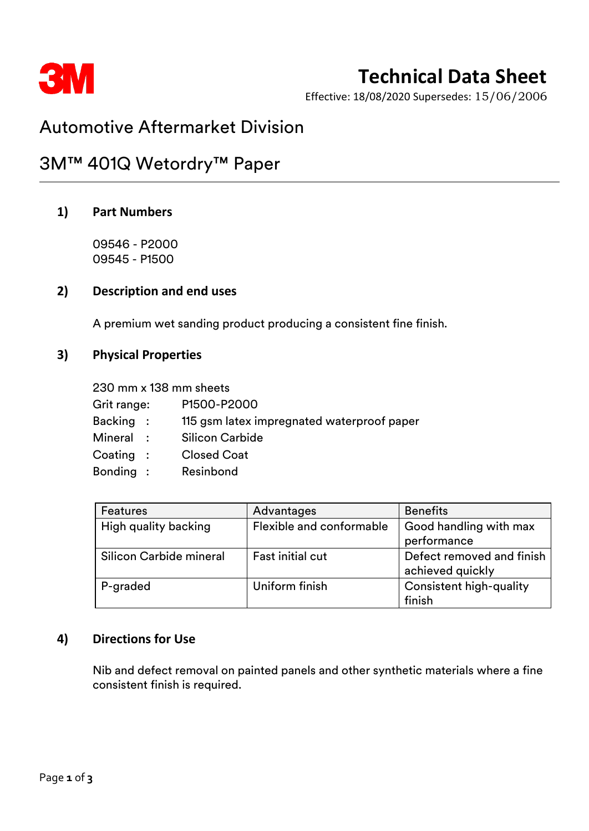

# **Technical Data Sheet**

Effective: 18/08/2020 Supersedes: 15/06/2006

# Automotive Aftermarket Division

# 3M™ 401Q Wetordry™ Paper

### **1) Part Numbers**

09546 - P2000 09545 - P1500

#### **2) Description and end uses**

A premium wet sanding product producing a consistent fine finish.

### **3) Physical Properties**

230 mm x 138 mm sheets Grit range: P1500-P2000 Backing : 115 gsm latex impregnated waterproof paper Mineral : Silicon Carbide Coating : Closed Coat Bonding : Resinbond

| <b>Features</b>         | Advantages               | <b>Benefits</b>                |
|-------------------------|--------------------------|--------------------------------|
| High quality backing    | Flexible and conformable | Good handling with max         |
|                         |                          | performance                    |
| Silicon Carbide mineral | <b>Fast initial cut</b>  | Defect removed and finish      |
|                         |                          | achieved quickly               |
| P-graded                | Uniform finish           | <b>Consistent high-quality</b> |
|                         |                          | finish                         |

## **4) Directions for Use**

Nib and defect removal on painted panels and other synthetic materials where a fine consistent finish is required.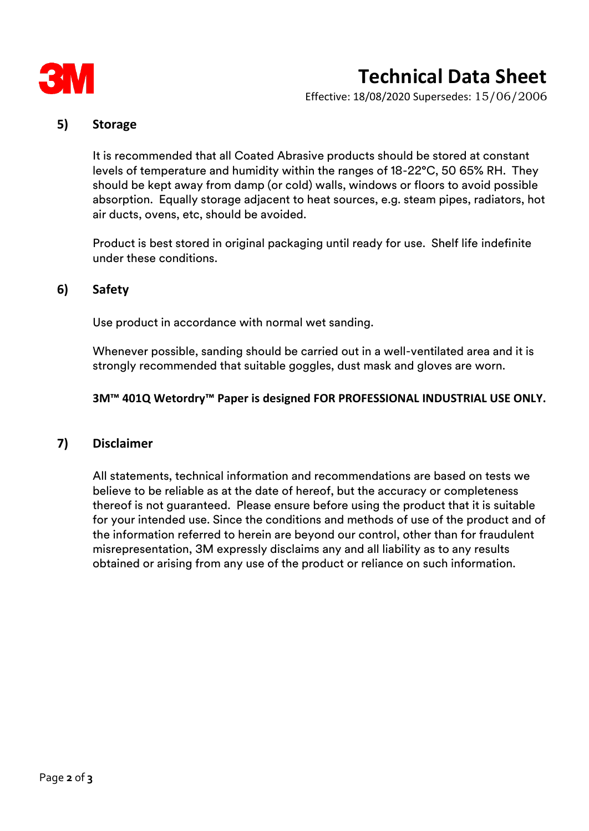

# **Technical Data Sheet**

Effective: 18/08/2020 Supersedes: 15/06/2006

### **5) Storage**

It is recommended that all Coated Abrasive products should be stored at constant levels of temperature and humidity within the ranges of 18-22°C, 50 65% RH. They should be kept away from damp (or cold) walls, windows or floors to avoid possible absorption. Equally storage adjacent to heat sources, e.g. steam pipes, radiators, hot air ducts, ovens, etc, should be avoided.

Product is best stored in original packaging until ready for use. Shelf life indefinite under these conditions.

### **6) Safety**

Use product in accordance with normal wet sanding.

Whenever possible, sanding should be carried out in a well-ventilated area and it is strongly recommended that suitable goggles, dust mask and gloves are worn.

#### **3M™ 401Q Wetordry™ Paper is designed FOR PROFESSIONAL INDUSTRIAL USE ONLY.**

#### **7) Disclaimer**

All statements, technical information and recommendations are based on tests we believe to be reliable as at the date of hereof, but the accuracy or completeness thereof is not guaranteed. Please ensure before using the product that it is suitable for your intended use. Since the conditions and methods of use of the product and of the information referred to herein are beyond our control, other than for fraudulent misrepresentation, 3M expressly disclaims any and all liability as to any results obtained or arising from any use of the product or reliance on such information.